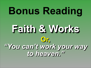## **Bonus Reading Faith & Works Or,** *"You can't work your way to heaven."*

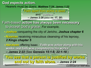### **God expects action.** Hearers must be doers: *Matthew 7:24; James 1:22*

Faith-based **action has always been necessary** to accept God's grace. *For example,*

- **Joshua** conquering the city of Jericho, *Joshua chapter 6*
- **Naaman** receiving miraculous cleansing of his leprosy, *2 Kings chapter 5*

• **Abraham** offering Isaac. "**Faith was active along with his works, and faith was completed by his works**." *– James 2:22* (See *Genesis 15:1-6; 22:1-18*.)

*Continued on next slide*

"Faith apart from works is dead," and "useless." *– James 2:26 (also vv. 17, 20*)

**You see that a person is justified by works and not by faith alone.** *– James 2:24*